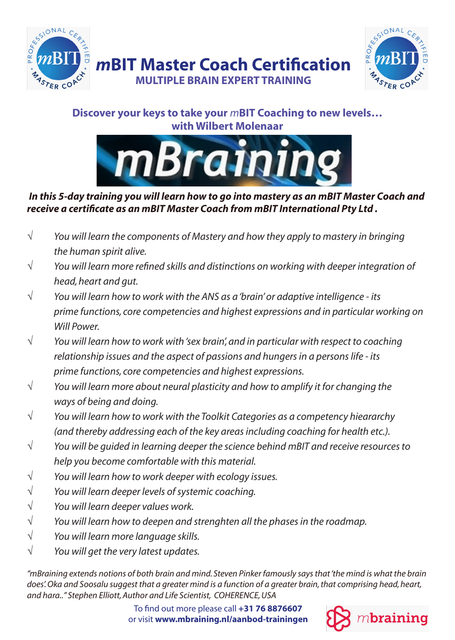



## **Discover your keys to take your** *m***BIT Coaching to new levels… with Wilbert Molenaar**



#### *In this 5-day training you will learn how to go into mastery as an mBIT Master Coach and receive a certificate as an mBIT Master Coach from mBIT International Pty Ltd .*

- *You will learn the components of Mastery and how they apply to mastery in bringing the human spirit alive.* √
- *You will learn more refined skills and distinctions on working with deeper integration of head, heart and gut.* √
- *You will learn how to work with the ANS as a 'brain' or adaptive intelligence its prime functions, core competencies and highest expressions and in particular working on Will Power.* √
- *You will learn how to work with 'sex brain', and in particular with respect to coaching relationship issues and the aspect of passions and hungers in a persons life - its prime functions, core competencies and highest expressions.* √
- *You will learn more about neural plasticity and how to amplify it for changing the ways of being and doing.* √
- *You will learn how to work with the Toolkit Categories as a competency hieararchy (and thereby addressing each of the key areas including coaching for health etc.).* √
- *You will be guided in learning deeper the science behind mBIT and receive resources to help you become comfortable with this material.* √
- *You will learn how to work deeper with ecology issues.* √
- *You will learn deeper levels of systemic coaching.*  √
- *You will learn deeper values work.* √
- *You will learn how to deepen and strenghten all the phases in the roadmap.* √
- *You will learn more language skills.* √
- *You will get the very latest updates.* √

*"mBraining extends notions of both brain and mind. Steven Pinker famously says that 'the mind is what the brain does'. Oka and Soosalu suggest that a greater mind is a function of a greater brain, that comprising head, heart, and hara.." Stephen Elliott, Author and Life Scientist, COHERENCE, USA* 

> To find out more please call **+31 76 8876607** or visit **www.mbraining.nl/aanbod-trainingen**

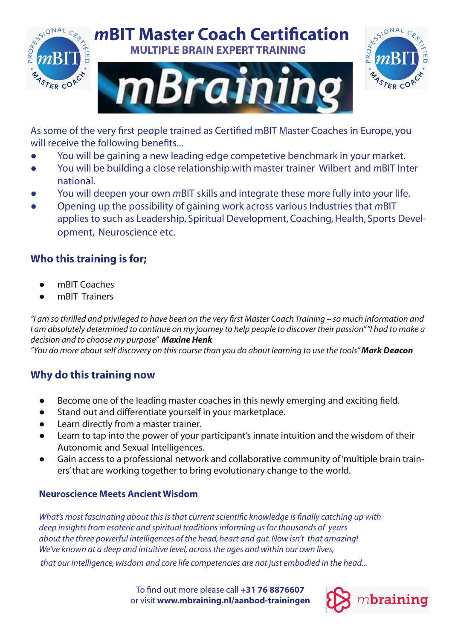

# *m***BIT Master Coach Certification MULTIPLE BRAIN EXPERT TRAINING**





As some of the very first people trained as Certified mBIT Master Coaches in Europe, you will receive the following benefits...

- You will be gaining a new leading edge competetive benchmark in your market. ●
- You will be building a close relationship with master trainer Wilbert and *m*BIT Inter national. ●
- You will deepen your own *m*BIT skills and integrate these more fully into your life. ●
- Opening up the possibility of gaining work across various Industries that *m*BIT applies to such as Leadership, Spiritual Development, Coaching, Health, Sports Development, Neuroscience etc. ●

### **Who this training is for;**

- mBIT Coaches ●
- mBIT Trainers ●

*"I am so thrilled and privileged to have been on the very first Master Coach Training – so much information and*  I am absolutely determined to continue on my journey to help people to discover their passion" "I had to make a *decision and to choose my purpose" Maxine Henk*

*"You do more about self discovery on this course than you do about learning to use the tools" Mark Deacon*

### **Why do this training now**

- Become one of the leading master coaches in this newly emerging and exciting field. ●
- Stand out and differentiate yourself in your marketplace. ●
- Learn directly from a master trainer. ●
- Learn to tap into the power of your participant's innate intuition and the wisdom of their Autonomic and Sexual Intelligences. ●
- Gain access to a professional network and collaborative community of 'multiple brain trainers' that are working together to bring evolutionary change to the world. ●

#### **Neuroscience Meets Ancient Wisdom**

*What's most fascinating about this is that current scientific knowledge is finally catching up with deep insights from esoteric and spiritual traditions informing us for thousands of years about the three powerful intelligences of the head, heart and gut. Now isn't that amazing! We've known at a deep and intuitive level, across the ages and within our own lives, that our intelligence, wisdom and core life competencies are not just embodied in the head...*

> To find out more please call **+31 76 8876607** or visit **www.mbraining.nl/aanbod-trainingen**

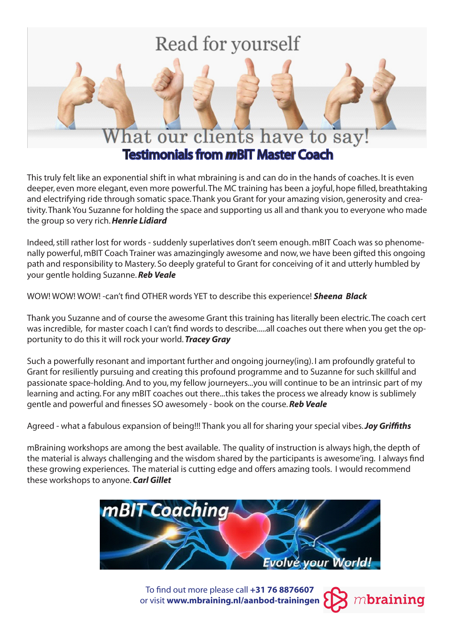# Read for yourself



This truly felt like an exponential shift in what mbraining is and can do in the hands of coaches. It is even deeper, even more elegant, even more powerful. The MC training has been a joyful, hope filled, breathtaking and electrifying ride through somatic space. Thank you Grant for your amazing vision, generosity and creativity. Thank You Suzanne for holding the space and supporting us all and thank you to everyone who made the group so very rich. *Henrie Lidiard*

Indeed, still rather lost for words - suddenly superlatives don't seem enough. mBIT Coach was so phenomenally powerful, mBIT Coach Trainer was amazingingly awesome and now, we have been gifted this ongoing path and responsibility to Mastery. So deeply grateful to Grant for conceiving of it and utterly humbled by your gentle holding Suzanne. *Reb Veale*

WOW! WOW! WOW! -can't find OTHER words YET to describe this experience! *Sheena Black*

Thank you Suzanne and of course the awesome Grant this training has literally been electric. The coach cert was incredible, for master coach I can't find words to describe.....all coaches out there when you get the opportunity to do this it will rock your world. *Tracey Gray*

Such a powerfully resonant and important further and ongoing journey(ing). I am profoundly grateful to Grant for resiliently pursuing and creating this profound programme and to Suzanne for such skillful and passionate space-holding. And to you, my fellow journeyers...you will continue to be an intrinsic part of my learning and acting. For any mBIT coaches out there...this takes the process we already know is sublimely gentle and powerful and finesses SO awesomely - book on the course. *Reb Veale*

Agreed - what a fabulous expansion of being!!! Thank you all for sharing your special vibes. *Joy Griffiths*

mBraining workshops are among the best available. The quality of instruction is always high, the depth of the material is always challenging and the wisdom shared by the participants is awesome'ing. I always find these growing experiences. The material is cutting edge and offers amazing tools. I would recommend these workshops to anyone. *Carl Gillet*



To find out more please call **+31 76 8876607**  $m$ braining or visit **www.mbraining.nl/aanbod-trainingen**